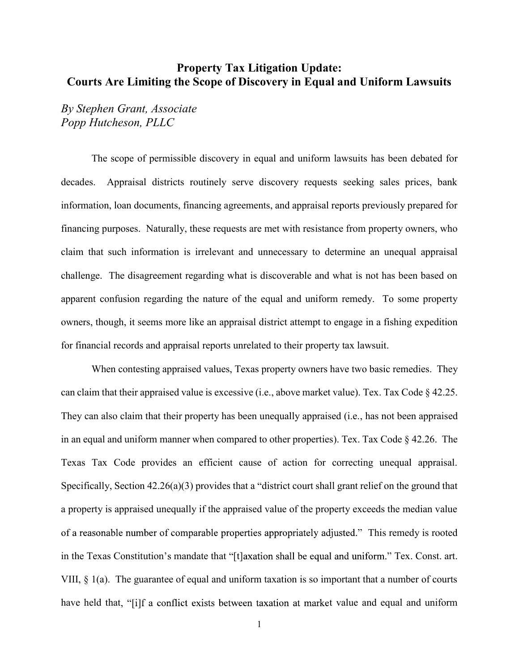## Property Tax Litigation Update: Courts Are Limiting the Scope of Discovery in Equal and Uniform Lawsuits

By Stephen Grant, Associate Popp Hutcheson, PLLC

The scope of permissible discovery in equal and uniform lawsuits has been debated for decades. Appraisal districts routinely serve discovery requests seeking sales prices, bank information, loan documents, financing agreements, and appraisal reports previously prepared for financing purposes. Naturally, these requests are met with resistance from property owners, who claim that such information is irrelevant and unnecessary to determine an unequal appraisal challenge. The disagreement regarding what is discoverable and what is not has been based on apparent confusion regarding the nature of the equal and uniform remedy. To some property owners, though, it seems more like an appraisal district attempt to engage in a fishing expedition for financial records and appraisal reports unrelated to their property tax lawsuit.

When contesting appraised values, Texas property owners have two basic remedies. They can claim that their appraised value is excessive (i.e., above market value). Tex. Tax Code § 42.25. They can also claim that their property has been unequally appraised (i.e., has not been appraised in an equal and uniform manner when compared to other properties). Tex. Tax Code § 42.26. The Texas Tax Code provides an efficient cause of action for correcting unequal appraisal. Specifically, Section  $42.26(a)(3)$  provides that a "district court shall grant relief on the ground that a property is appraised unequally if the appraised value of the property exceeds the median value of a reasonable number of comparable properties appropriately adjusted." This remedy is rooted in the Texas Constitution's mandate that "[t] axation shall be equal and uniform." Tex. Const. art. VIII, § 1(a). The guarantee of equal and uniform taxation is so important that a number of courts have held that, "[i]f a conflict exists between taxation at market value and equal and uniform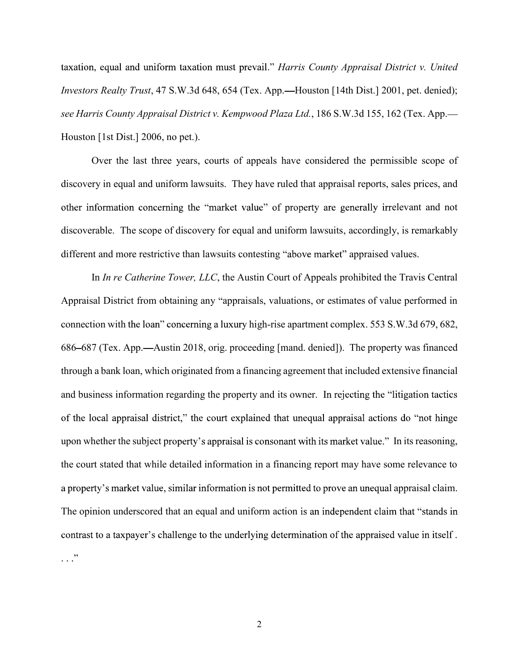taxation, equal and uniform taxation must prevail." Harris County Appraisal District v. United Investors Realty Trust, 47 S.W.3d 648, 654 (Tex. App.—Houston [14th Dist.] 2001, pet. denied); see Harris County Appraisal District v. Kempwood Plaza Ltd., 186 S.W.3d 155, 162 (Tex. App. Houston [1st Dist.] 2006, no pet.).

Over the last three years, courts of appeals have considered the permissible scope of discovery in equal and uniform lawsuits. They have ruled that appraisal reports, sales prices, and other information concerning the "market value" of property are generally irrelevant and not discoverable. The scope of discovery for equal and uniform lawsuits, accordingly, is remarkably different and more restrictive than lawsuits contesting "above market" appraised values.

In *In re Catherine Tower, LLC*, the Austin Court of Appeals prohibited the Travis Central Appraisal District from obtaining any "appraisals, valuations, or estimates of value performed in connection with the loan" concerning a luxury high-rise apartment complex. 553 S.W.3d 679, 682, 686–687 (Tex. App.—Austin 2018, orig. proceeding [mand. denied]). The property was financed through a bank loan, which originated from a financing agreement that included extensive financial and business information regarding the property and its owner. In rejecting the "litigation tactics" of the local appraisal district," the court explained that unequal appraisal actions do "not hinge" upon whether the subject property's appraisal is consonant with its market value." In its reasoning, the court stated that while detailed information in a financing report may have some relevance to a property's market value, similar information is not permitted to prove an unequal appraisal claim. The opinion underscored that an equal and uniform action is an independent claim that "stands in contrast to a taxpayer's challenge to the underlying determination of the appraised value in itself.  $\ldots$ .